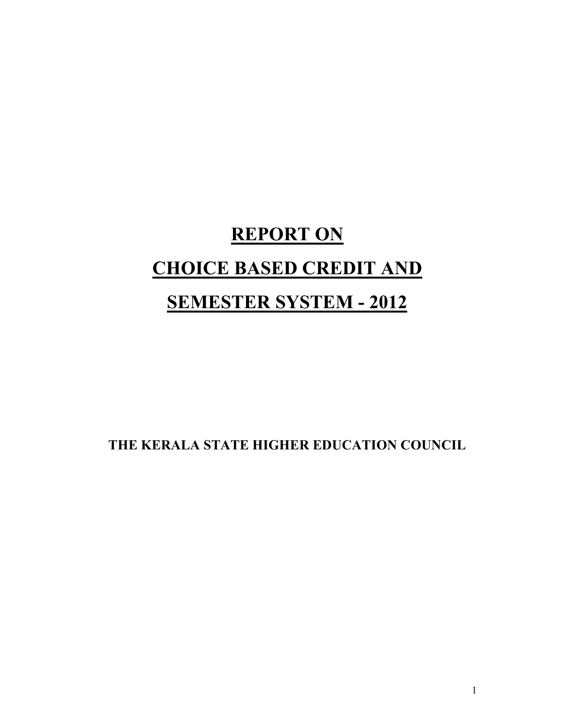# **REPORT ON CHOICE BASED CREDIT AND**

# **SEMESTER SYSTEM - 2012**

**THE KERALA STATE HIGHER EDUCATION COUNCIL**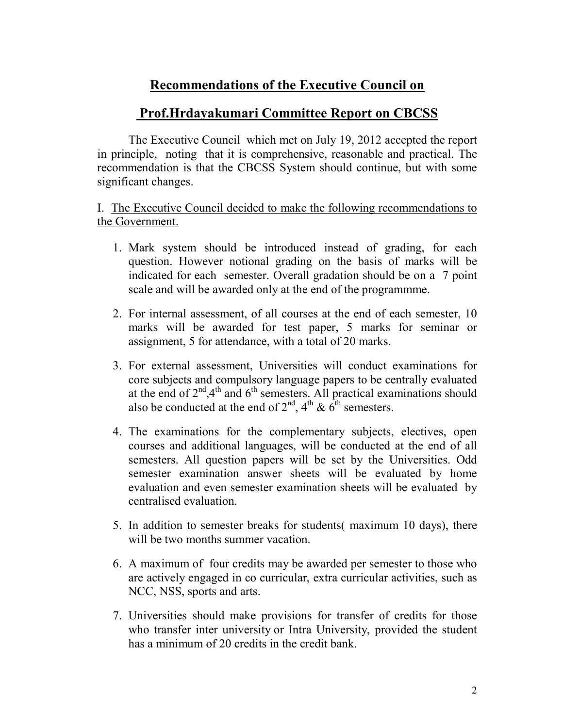# **Recommendations of the Executive Council on**

## **Prof.Hrdayakumari Committee Report on CBCSS**

The Executive Council which met on July 19, 2012 accepted the report in principle, noting that it is comprehensive, reasonable and practical. The recommendation is that the CBCSS System should continue, but with some significant changes.

I. The Executive Council decided to make the following recommendations to the Government.

- 1. Mark system should be introduced instead of grading, for each question. However notional grading on the basis of marks will be indicated for each semester. Overall gradation should be on a 7 point scale and will be awarded only at the end of the programmme.
- 2. For internal assessment, of all courses at the end of each semester, 10 marks will be awarded for test paper, 5 marks for seminar or assignment, 5 for attendance, with a total of 20 marks.
- 3. For external assessment, Universities will conduct examinations for core subjects and compulsory language papers to be centrally evaluated at the end of  $2<sup>nd</sup>,4<sup>th</sup>$  and  $6<sup>th</sup>$  semesters. All practical examinations should also be conducted at the end of  $2<sup>nd</sup>$ ,  $4<sup>th</sup>$  &  $6<sup>th</sup>$  semesters.
- 4. The examinations for the complementary subjects, electives, open courses and additional languages, will be conducted at the end of all semesters. All question papers will be set by the Universities. Odd semester examination answer sheets will be evaluated by home evaluation and even semester examination sheets will be evaluated by centralised evaluation.
- 5. In addition to semester breaks for students( maximum 10 days), there will be two months summer vacation.
- 6. A maximum of four credits may be awarded per semester to those who are actively engaged in co curricular, extra curricular activities, such as NCC, NSS, sports and arts.
- 7. Universities should make provisions for transfer of credits for those who transfer inter university or Intra University, provided the student has a minimum of 20 credits in the credit bank.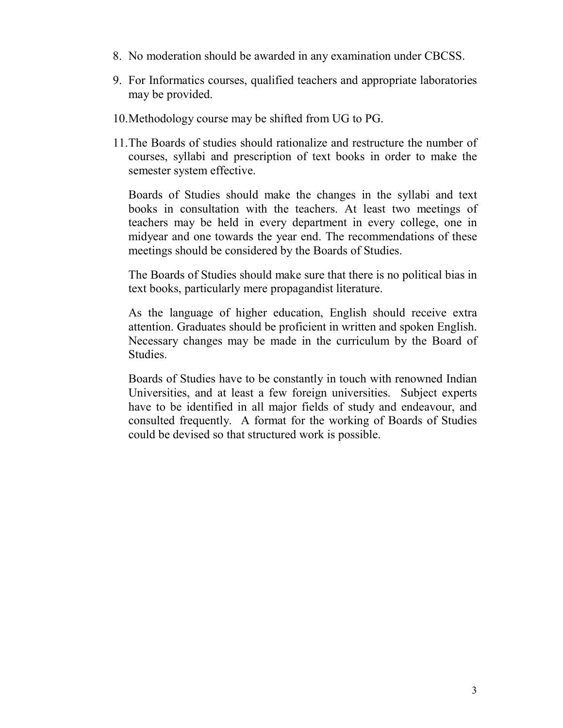- 8. No moderation should be awarded in any examination under CBCSS.
- 9. For Informatics courses, qualified teachers and appropriate laboratories may be provided.
- 10.Methodology course may be shifted from UG to PG.
- 11.The Boards of studies should rationalize and restructure the number of courses, syllabi and prescription of text books in order to make the semester system effective.

Boards of Studies should make the changes in the syllabi and text books in consultation with the teachers. At least two meetings of teachers may be held in every department in every college, one in midyear and one towards the year end. The recommendations of these meetings should be considered by the Boards of Studies.

The Boards of Studies should make sure that there is no political bias in text books, particularly mere propagandist literature.

As the language of higher education, English should receive extra attention. Graduates should be proficient in written and spoken English. Necessary changes may be made in the curriculum by the Board of Studies.

Boards of Studies have to be constantly in touch with renowned Indian Universities, and at least a few foreign universities. Subject experts have to be identified in all major fields of study and endeavour, and consulted frequently. A format for the working of Boards of Studies could be devised so that structured work is possible.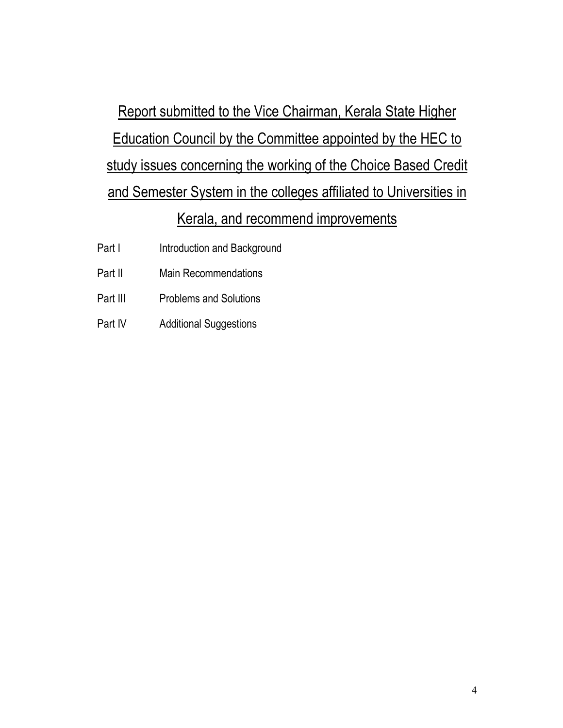Report submitted to the Vice Chairman, Kerala State Higher Education Council by the Committee appointed by the HEC to study issues concerning the working of the Choice Based Credit and Semester System in the colleges affiliated to Universities in Kerala, and recommend improvements

- Part I Introduction and Background
- Part II Main Recommendations
- Part III Problems and Solutions
- Part IV Additional Suggestions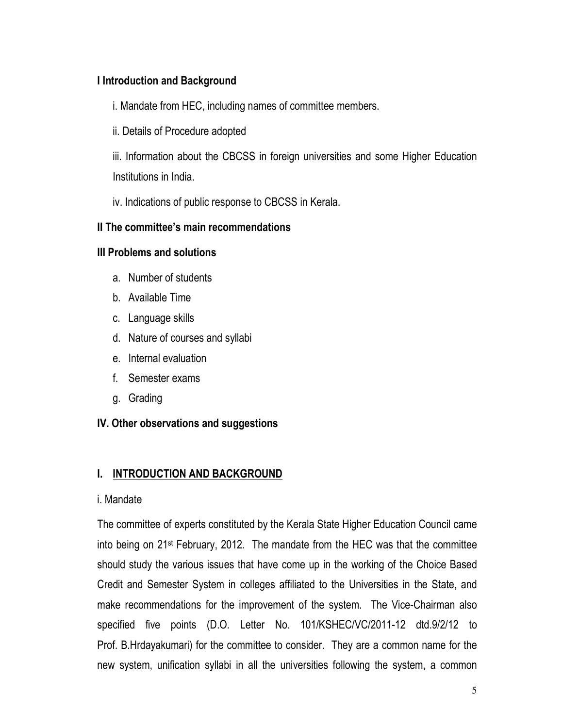#### **I Introduction and Background**

i. Mandate from HEC, including names of committee members.

ii. Details of Procedure adopted

iii. Information about the CBCSS in foreign universities and some Higher Education Institutions in India.

iv. Indications of public response to CBCSS in Kerala.

#### **II The committee's main recommendations**

#### **III Problems and solutions**

- a. Number of students
- b. Available Time
- c. Language skills
- d. Nature of courses and syllabi
- e. Internal evaluation
- f. Semester exams
- g. Grading

#### **IV. Other observations and suggestions**

#### **I. INTRODUCTION AND BACKGROUND**

#### i. Mandate

The committee of experts constituted by the Kerala State Higher Education Council came into being on 21st February, 2012. The mandate from the HEC was that the committee should study the various issues that have come up in the working of the Choice Based Credit and Semester System in colleges affiliated to the Universities in the State, and make recommendations for the improvement of the system. The Vice-Chairman also specified five points (D.O. Letter No. 101/KSHEC/VC/2011-12 dtd.9/2/12 to Prof. B.Hrdayakumari) for the committee to consider. They are a common name for the new system, unification syllabi in all the universities following the system, a common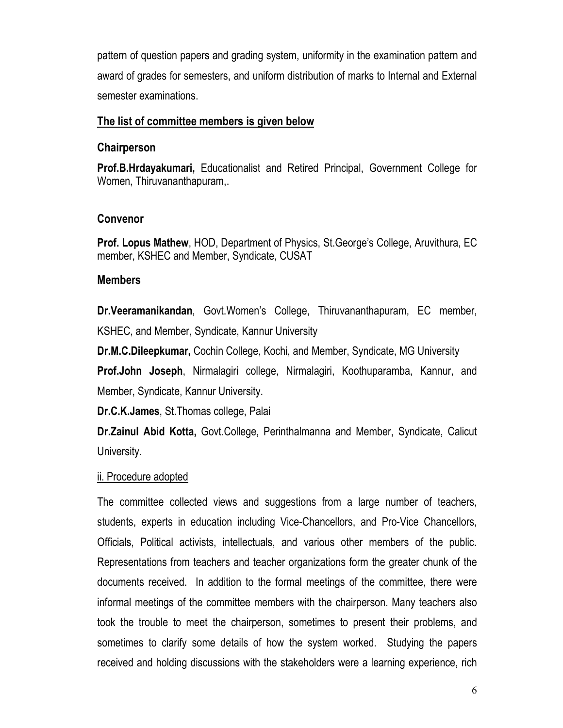pattern of question papers and grading system, uniformity in the examination pattern and award of grades for semesters, and uniform distribution of marks to Internal and External semester examinations.

#### **The list of committee members is given below**

#### **Chairperson**

**Prof.B.Hrdayakumari,** Educationalist and Retired Principal, Government College for Women, Thiruvananthapuram,.

#### **Convenor**

**Prof. Lopus Mathew**, HOD, Department of Physics, St.George's College, Aruvithura, EC member, KSHEC and Member, Syndicate, CUSAT

#### **Members**

**Dr.Veeramanikandan**, Govt.Women's College, Thiruvananthapuram, EC member, KSHEC, and Member, Syndicate, Kannur University

**Dr.M.C.Dileepkumar,** Cochin College, Kochi, and Member, Syndicate, MG University **Prof.John Joseph**, Nirmalagiri college, Nirmalagiri, Koothuparamba, Kannur, and Member, Syndicate, Kannur University.

**Dr.C.K.James**, St.Thomas college, Palai

**Dr.Zainul Abid Kotta,** Govt.College, Perinthalmanna and Member, Syndicate, Calicut University.

#### ii. Procedure adopted

The committee collected views and suggestions from a large number of teachers, students, experts in education including Vice-Chancellors, and Pro-Vice Chancellors, Officials, Political activists, intellectuals, and various other members of the public. Representations from teachers and teacher organizations form the greater chunk of the documents received. In addition to the formal meetings of the committee, there were informal meetings of the committee members with the chairperson. Many teachers also took the trouble to meet the chairperson, sometimes to present their problems, and sometimes to clarify some details of how the system worked. Studying the papers received and holding discussions with the stakeholders were a learning experience, rich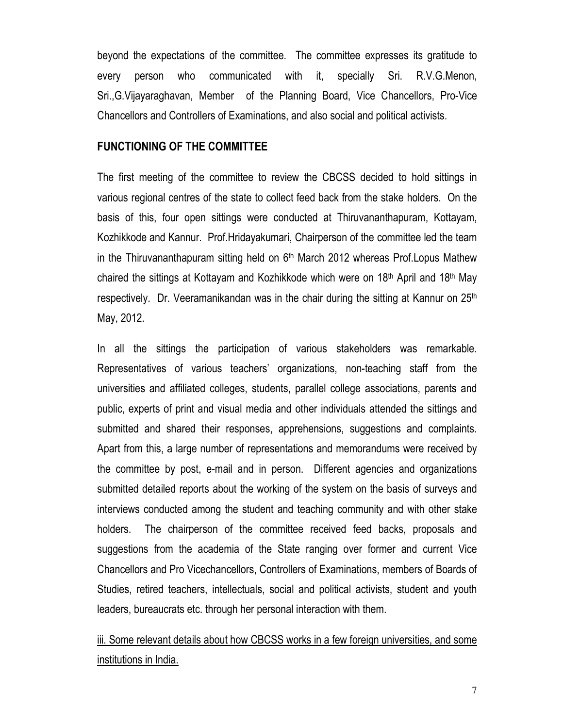beyond the expectations of the committee. The committee expresses its gratitude to every person who communicated with it, specially Sri. R.V.G.Menon, Sri.,G.Vijayaraghavan, Member of the Planning Board, Vice Chancellors, Pro-Vice Chancellors and Controllers of Examinations, and also social and political activists.

#### **FUNCTIONING OF THE COMMITTEE**

The first meeting of the committee to review the CBCSS decided to hold sittings in various regional centres of the state to collect feed back from the stake holders. On the basis of this, four open sittings were conducted at Thiruvananthapuram, Kottayam, Kozhikkode and Kannur. Prof.Hridayakumari, Chairperson of the committee led the team in the Thiruvananthapuram sitting held on  $6<sup>th</sup>$  March 2012 whereas Prof. Lopus Mathew chaired the sittings at Kottayam and Kozhikkode which were on 18th April and 18th May respectively. Dr. Veeramanikandan was in the chair during the sitting at Kannur on 25<sup>th</sup> May, 2012.

In all the sittings the participation of various stakeholders was remarkable. Representatives of various teachers' organizations, non-teaching staff from the universities and affiliated colleges, students, parallel college associations, parents and public, experts of print and visual media and other individuals attended the sittings and submitted and shared their responses, apprehensions, suggestions and complaints. Apart from this, a large number of representations and memorandums were received by the committee by post, e-mail and in person. Different agencies and organizations submitted detailed reports about the working of the system on the basis of surveys and interviews conducted among the student and teaching community and with other stake holders. The chairperson of the committee received feed backs, proposals and suggestions from the academia of the State ranging over former and current Vice Chancellors and Pro Vicechancellors, Controllers of Examinations, members of Boards of Studies, retired teachers, intellectuals, social and political activists, student and youth leaders, bureaucrats etc. through her personal interaction with them.

iii. Some relevant details about how CBCSS works in a few foreign universities, and some institutions in India.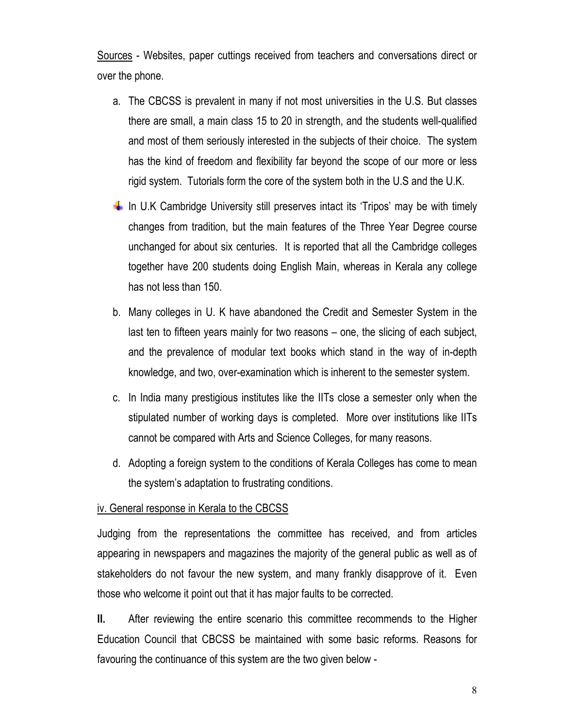Sources - Websites, paper cuttings received from teachers and conversations direct or over the phone.

- a. The CBCSS is prevalent in many if not most universities in the U.S. But classes there are small, a main class 15 to 20 in strength, and the students well-qualified and most of them seriously interested in the subjects of their choice. The system has the kind of freedom and flexibility far beyond the scope of our more or less rigid system. Tutorials form the core of the system both in the U.S and the U.K.
- In U.K Cambridge University still preserves intact its 'Tripos' may be with timely changes from tradition, but the main features of the Three Year Degree course unchanged for about six centuries. It is reported that all the Cambridge colleges together have 200 students doing English Main, whereas in Kerala any college has not less than 150.
- b. Many colleges in U. K have abandoned the Credit and Semester System in the last ten to fifteen years mainly for two reasons – one, the slicing of each subject, and the prevalence of modular text books which stand in the way of in-depth knowledge, and two, over-examination which is inherent to the semester system.
- c. In India many prestigious institutes like the IITs close a semester only when the stipulated number of working days is completed. More over institutions like IITs cannot be compared with Arts and Science Colleges, for many reasons.
- d. Adopting a foreign system to the conditions of Kerala Colleges has come to mean the system's adaptation to frustrating conditions.

#### iv. General response in Kerala to the CBCSS

Judging from the representations the committee has received, and from articles appearing in newspapers and magazines the majority of the general public as well as of stakeholders do not favour the new system, and many frankly disapprove of it. Even those who welcome it point out that it has major faults to be corrected.

**II.** After reviewing the entire scenario this committee recommends to the Higher Education Council that CBCSS be maintained with some basic reforms. Reasons for favouring the continuance of this system are the two given below -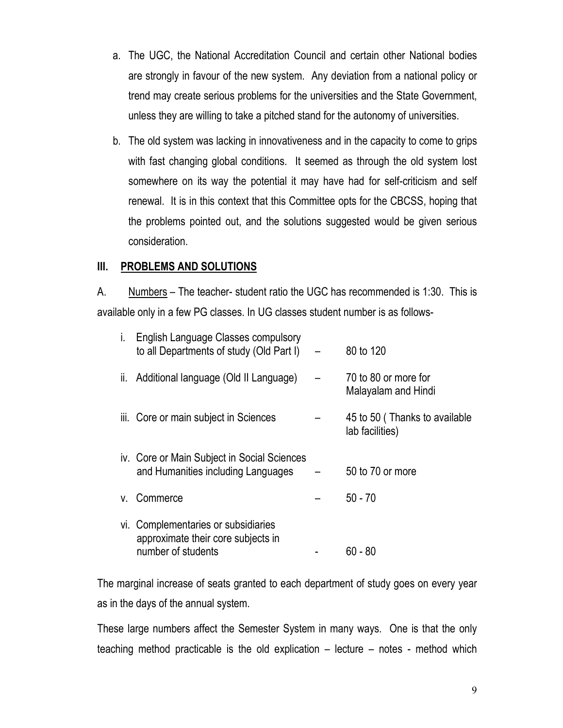- a. The UGC, the National Accreditation Council and certain other National bodies are strongly in favour of the new system. Any deviation from a national policy or trend may create serious problems for the universities and the State Government, unless they are willing to take a pitched stand for the autonomy of universities.
- b. The old system was lacking in innovativeness and in the capacity to come to grips with fast changing global conditions. It seemed as through the old system lost somewhere on its way the potential it may have had for self-criticism and self renewal. It is in this context that this Committee opts for the CBCSS, hoping that the problems pointed out, and the solutions suggested would be given serious consideration.

#### **III. PROBLEMS AND SOLUTIONS**

A. Numbers – The teacher- student ratio the UGC has recommended is 1:30. This is available only in a few PG classes. In UG classes student number is as follows-

| İ. | English Language Classes compulsory<br>to all Departments of study (Old Part I)                 | 80 to 120                                        |
|----|-------------------------------------------------------------------------------------------------|--------------------------------------------------|
| Ш. | Additional language (Old II Language)                                                           | 70 to 80 or more for<br>Malayalam and Hindi      |
|    | iii. Core or main subject in Sciences                                                           | 45 to 50 (Thanks to available<br>lab facilities) |
|    | iv. Core or Main Subject in Social Sciences<br>and Humanities including Languages               | 50 to 70 or more                                 |
|    | v. Commerce                                                                                     | $50 - 70$                                        |
|    | vi. Complementaries or subsidiaries<br>approximate their core subjects in<br>number of students | 60 - 80                                          |

The marginal increase of seats granted to each department of study goes on every year as in the days of the annual system.

These large numbers affect the Semester System in many ways. One is that the only teaching method practicable is the old explication – lecture – notes - method which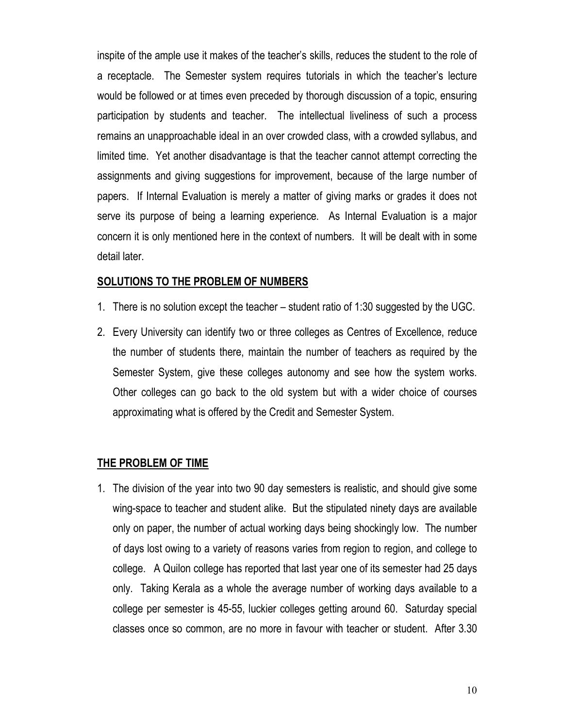inspite of the ample use it makes of the teacher's skills, reduces the student to the role of a receptacle. The Semester system requires tutorials in which the teacher's lecture would be followed or at times even preceded by thorough discussion of a topic, ensuring participation by students and teacher. The intellectual liveliness of such a process remains an unapproachable ideal in an over crowded class, with a crowded syllabus, and limited time. Yet another disadvantage is that the teacher cannot attempt correcting the assignments and giving suggestions for improvement, because of the large number of papers. If Internal Evaluation is merely a matter of giving marks or grades it does not serve its purpose of being a learning experience. As Internal Evaluation is a major concern it is only mentioned here in the context of numbers. It will be dealt with in some detail later.

#### **SOLUTIONS TO THE PROBLEM OF NUMBERS**

- 1. There is no solution except the teacher student ratio of 1:30 suggested by the UGC.
- 2. Every University can identify two or three colleges as Centres of Excellence, reduce the number of students there, maintain the number of teachers as required by the Semester System, give these colleges autonomy and see how the system works. Other colleges can go back to the old system but with a wider choice of courses approximating what is offered by the Credit and Semester System.

#### **THE PROBLEM OF TIME**

1. The division of the year into two 90 day semesters is realistic, and should give some wing-space to teacher and student alike. But the stipulated ninety days are available only on paper, the number of actual working days being shockingly low. The number of days lost owing to a variety of reasons varies from region to region, and college to college. A Quilon college has reported that last year one of its semester had 25 days only. Taking Kerala as a whole the average number of working days available to a college per semester is 45-55, luckier colleges getting around 60. Saturday special classes once so common, are no more in favour with teacher or student. After 3.30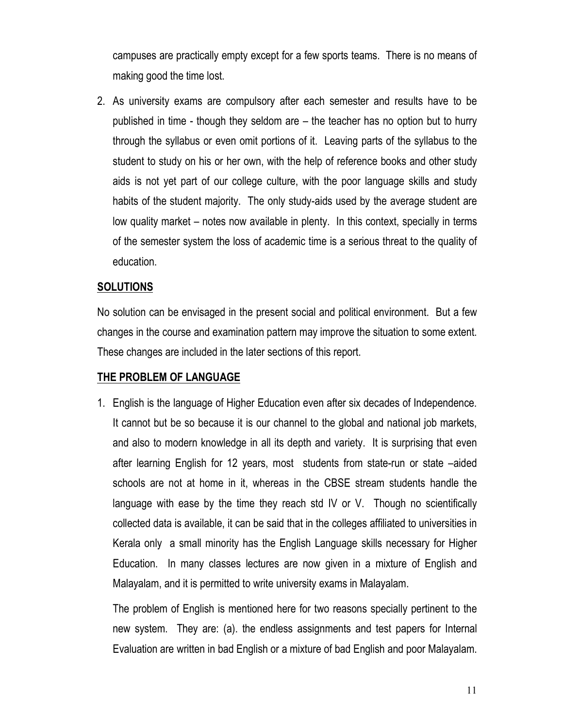campuses are practically empty except for a few sports teams. There is no means of making good the time lost.

2. As university exams are compulsory after each semester and results have to be published in time - though they seldom are – the teacher has no option but to hurry through the syllabus or even omit portions of it. Leaving parts of the syllabus to the student to study on his or her own, with the help of reference books and other study aids is not yet part of our college culture, with the poor language skills and study habits of the student majority. The only study-aids used by the average student are low quality market – notes now available in plenty. In this context, specially in terms of the semester system the loss of academic time is a serious threat to the quality of education.

#### **SOLUTIONS**

No solution can be envisaged in the present social and political environment. But a few changes in the course and examination pattern may improve the situation to some extent. These changes are included in the later sections of this report.

#### **THE PROBLEM OF LANGUAGE**

1. English is the language of Higher Education even after six decades of Independence. It cannot but be so because it is our channel to the global and national job markets, and also to modern knowledge in all its depth and variety. It is surprising that even after learning English for 12 years, most students from state-run or state –aided schools are not at home in it, whereas in the CBSE stream students handle the language with ease by the time they reach std IV or V. Though no scientifically collected data is available, it can be said that in the colleges affiliated to universities in Kerala only a small minority has the English Language skills necessary for Higher Education. In many classes lectures are now given in a mixture of English and Malayalam, and it is permitted to write university exams in Malayalam.

The problem of English is mentioned here for two reasons specially pertinent to the new system. They are: (a). the endless assignments and test papers for Internal Evaluation are written in bad English or a mixture of bad English and poor Malayalam.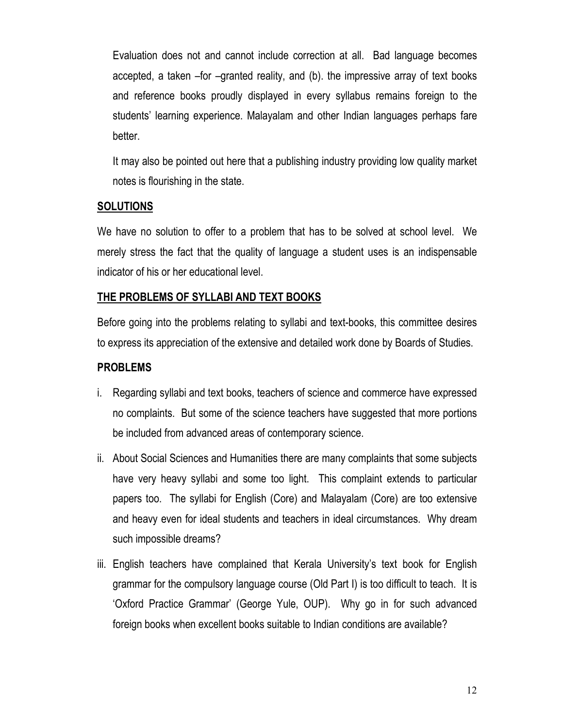Evaluation does not and cannot include correction at all. Bad language becomes accepted, a taken –for –granted reality, and (b). the impressive array of text books and reference books proudly displayed in every syllabus remains foreign to the students' learning experience. Malayalam and other Indian languages perhaps fare better.

It may also be pointed out here that a publishing industry providing low quality market notes is flourishing in the state.

#### **SOLUTIONS**

We have no solution to offer to a problem that has to be solved at school level. We merely stress the fact that the quality of language a student uses is an indispensable indicator of his or her educational level.

#### **THE PROBLEMS OF SYLLABI AND TEXT BOOKS**

Before going into the problems relating to syllabi and text-books, this committee desires to express its appreciation of the extensive and detailed work done by Boards of Studies.

#### **PROBLEMS**

- i. Regarding syllabi and text books, teachers of science and commerce have expressed no complaints. But some of the science teachers have suggested that more portions be included from advanced areas of contemporary science.
- ii. About Social Sciences and Humanities there are many complaints that some subjects have very heavy syllabi and some too light. This complaint extends to particular papers too. The syllabi for English (Core) and Malayalam (Core) are too extensive and heavy even for ideal students and teachers in ideal circumstances. Why dream such impossible dreams?
- iii. English teachers have complained that Kerala University's text book for English grammar for the compulsory language course (Old Part I) is too difficult to teach. It is 'Oxford Practice Grammar' (George Yule, OUP). Why go in for such advanced foreign books when excellent books suitable to Indian conditions are available?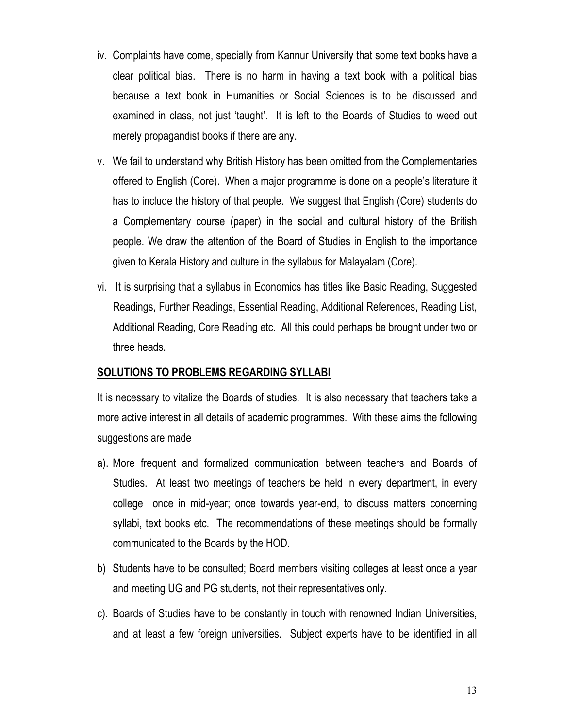- iv. Complaints have come, specially from Kannur University that some text books have a clear political bias. There is no harm in having a text book with a political bias because a text book in Humanities or Social Sciences is to be discussed and examined in class, not just 'taught'. It is left to the Boards of Studies to weed out merely propagandist books if there are any.
- v. We fail to understand why British History has been omitted from the Complementaries offered to English (Core). When a major programme is done on a people's literature it has to include the history of that people. We suggest that English (Core) students do a Complementary course (paper) in the social and cultural history of the British people. We draw the attention of the Board of Studies in English to the importance given to Kerala History and culture in the syllabus for Malayalam (Core).
- vi. It is surprising that a syllabus in Economics has titles like Basic Reading, Suggested Readings, Further Readings, Essential Reading, Additional References, Reading List, Additional Reading, Core Reading etc. All this could perhaps be brought under two or three heads.

#### **SOLUTIONS TO PROBLEMS REGARDING SYLLABI**

It is necessary to vitalize the Boards of studies. It is also necessary that teachers take a more active interest in all details of academic programmes. With these aims the following suggestions are made

- a). More frequent and formalized communication between teachers and Boards of Studies. At least two meetings of teachers be held in every department, in every college once in mid-year; once towards year-end, to discuss matters concerning syllabi, text books etc. The recommendations of these meetings should be formally communicated to the Boards by the HOD.
- b) Students have to be consulted; Board members visiting colleges at least once a year and meeting UG and PG students, not their representatives only.
- c). Boards of Studies have to be constantly in touch with renowned Indian Universities, and at least a few foreign universities. Subject experts have to be identified in all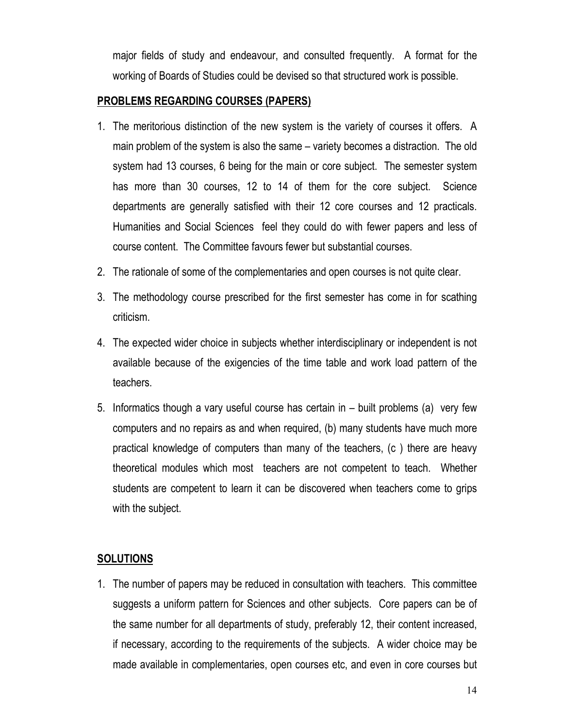major fields of study and endeavour, and consulted frequently. A format for the working of Boards of Studies could be devised so that structured work is possible.

#### **PROBLEMS REGARDING COURSES (PAPERS)**

- 1. The meritorious distinction of the new system is the variety of courses it offers. A main problem of the system is also the same – variety becomes a distraction. The old system had 13 courses, 6 being for the main or core subject. The semester system has more than 30 courses, 12 to 14 of them for the core subject. Science departments are generally satisfied with their 12 core courses and 12 practicals. Humanities and Social Sciences feel they could do with fewer papers and less of course content. The Committee favours fewer but substantial courses.
- 2. The rationale of some of the complementaries and open courses is not quite clear.
- 3. The methodology course prescribed for the first semester has come in for scathing criticism.
- 4. The expected wider choice in subjects whether interdisciplinary or independent is not available because of the exigencies of the time table and work load pattern of the teachers.
- 5. Informatics though a vary useful course has certain in built problems (a) very few computers and no repairs as and when required, (b) many students have much more practical knowledge of computers than many of the teachers, (c ) there are heavy theoretical modules which most teachers are not competent to teach. Whether students are competent to learn it can be discovered when teachers come to grips with the subject.

#### **SOLUTIONS**

1. The number of papers may be reduced in consultation with teachers. This committee suggests a uniform pattern for Sciences and other subjects. Core papers can be of the same number for all departments of study, preferably 12, their content increased, if necessary, according to the requirements of the subjects. A wider choice may be made available in complementaries, open courses etc, and even in core courses but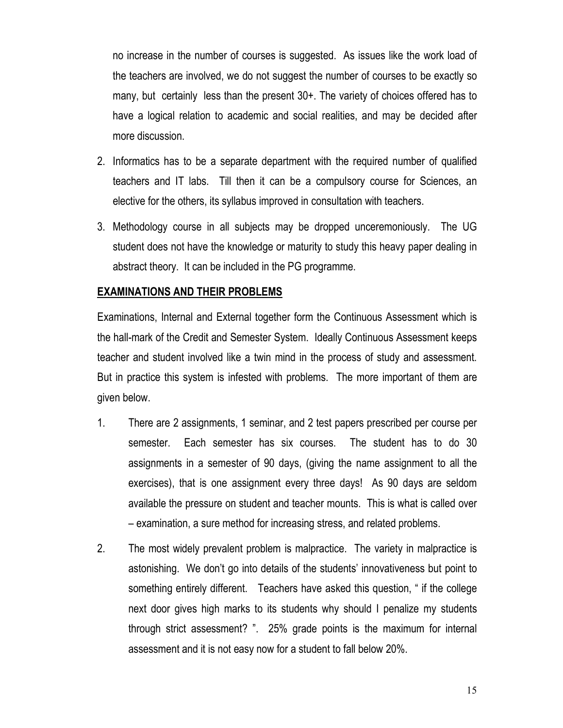no increase in the number of courses is suggested. As issues like the work load of the teachers are involved, we do not suggest the number of courses to be exactly so many, but certainly less than the present 30+. The variety of choices offered has to have a logical relation to academic and social realities, and may be decided after more discussion.

- 2. Informatics has to be a separate department with the required number of qualified teachers and IT labs. Till then it can be a compulsory course for Sciences, an elective for the others, its syllabus improved in consultation with teachers.
- 3. Methodology course in all subjects may be dropped unceremoniously. The UG student does not have the knowledge or maturity to study this heavy paper dealing in abstract theory. It can be included in the PG programme.

#### **EXAMINATIONS AND THEIR PROBLEMS**

Examinations, Internal and External together form the Continuous Assessment which is the hall-mark of the Credit and Semester System. Ideally Continuous Assessment keeps teacher and student involved like a twin mind in the process of study and assessment. But in practice this system is infested with problems. The more important of them are given below.

- 1. There are 2 assignments, 1 seminar, and 2 test papers prescribed per course per semester. Each semester has six courses. The student has to do 30 assignments in a semester of 90 days, (giving the name assignment to all the exercises), that is one assignment every three days! As 90 days are seldom available the pressure on student and teacher mounts. This is what is called over – examination, a sure method for increasing stress, and related problems.
- 2. The most widely prevalent problem is malpractice. The variety in malpractice is astonishing. We don't go into details of the students' innovativeness but point to something entirely different. Teachers have asked this question, " if the college next door gives high marks to its students why should I penalize my students through strict assessment? ". 25% grade points is the maximum for internal assessment and it is not easy now for a student to fall below 20%.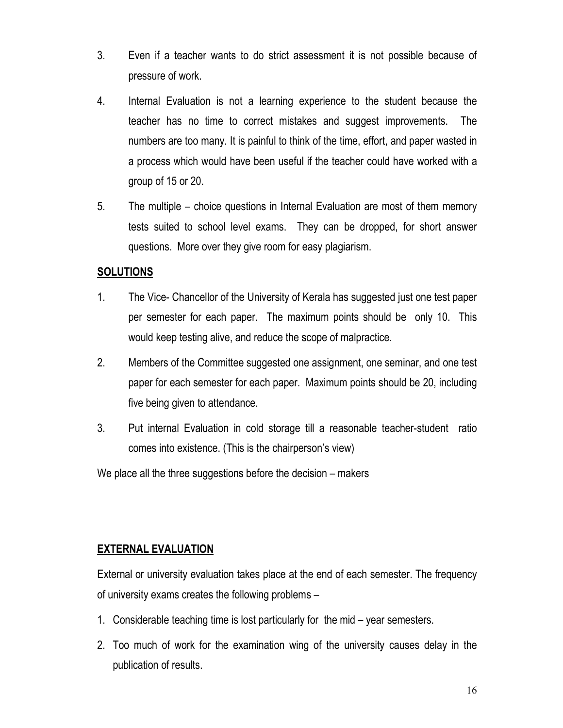- 3. Even if a teacher wants to do strict assessment it is not possible because of pressure of work.
- 4. Internal Evaluation is not a learning experience to the student because the teacher has no time to correct mistakes and suggest improvements. The numbers are too many. It is painful to think of the time, effort, and paper wasted in a process which would have been useful if the teacher could have worked with a group of 15 or 20.
- 5. The multiple choice questions in Internal Evaluation are most of them memory tests suited to school level exams. They can be dropped, for short answer questions. More over they give room for easy plagiarism.

#### **SOLUTIONS**

- 1. The Vice- Chancellor of the University of Kerala has suggested just one test paper per semester for each paper. The maximum points should be only 10. This would keep testing alive, and reduce the scope of malpractice.
- 2. Members of the Committee suggested one assignment, one seminar, and one test paper for each semester for each paper. Maximum points should be 20, including five being given to attendance.
- 3. Put internal Evaluation in cold storage till a reasonable teacher-student ratio comes into existence. (This is the chairperson's view)

We place all the three suggestions before the decision – makers

#### **EXTERNAL EVALUATION**

External or university evaluation takes place at the end of each semester. The frequency of university exams creates the following problems –

- 1. Considerable teaching time is lost particularly for the mid year semesters.
- 2. Too much of work for the examination wing of the university causes delay in the publication of results.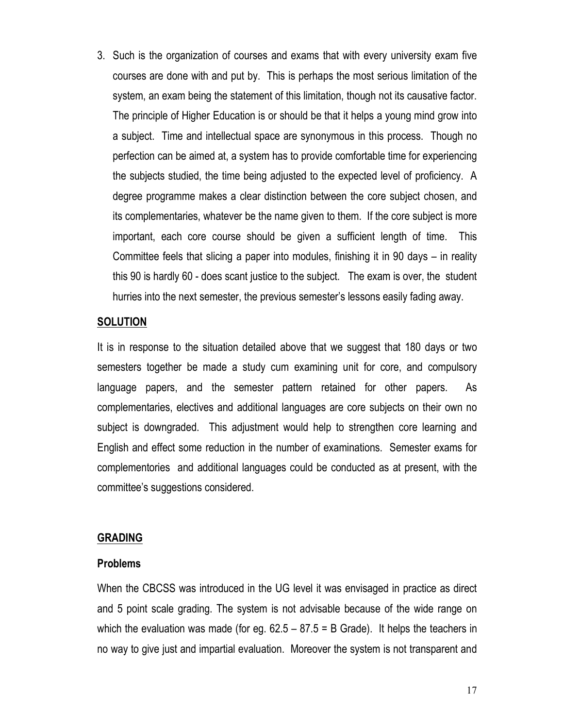3. Such is the organization of courses and exams that with every university exam five courses are done with and put by. This is perhaps the most serious limitation of the system, an exam being the statement of this limitation, though not its causative factor. The principle of Higher Education is or should be that it helps a young mind grow into a subject. Time and intellectual space are synonymous in this process. Though no perfection can be aimed at, a system has to provide comfortable time for experiencing the subjects studied, the time being adjusted to the expected level of proficiency. A degree programme makes a clear distinction between the core subject chosen, and its complementaries, whatever be the name given to them. If the core subject is more important, each core course should be given a sufficient length of time. This Committee feels that slicing a paper into modules, finishing it in 90 days – in reality this 90 is hardly 60 - does scant justice to the subject. The exam is over, the student hurries into the next semester, the previous semester's lessons easily fading away.

#### **SOLUTION**

It is in response to the situation detailed above that we suggest that 180 days or two semesters together be made a study cum examining unit for core, and compulsory language papers, and the semester pattern retained for other papers. As complementaries, electives and additional languages are core subjects on their own no subject is downgraded. This adjustment would help to strengthen core learning and English and effect some reduction in the number of examinations. Semester exams for complementories and additional languages could be conducted as at present, with the committee's suggestions considered.

#### **GRADING**

#### **Problems**

When the CBCSS was introduced in the UG level it was envisaged in practice as direct and 5 point scale grading. The system is not advisable because of the wide range on which the evaluation was made (for eg. 62.5 – 87.5 = B Grade). It helps the teachers in no way to give just and impartial evaluation. Moreover the system is not transparent and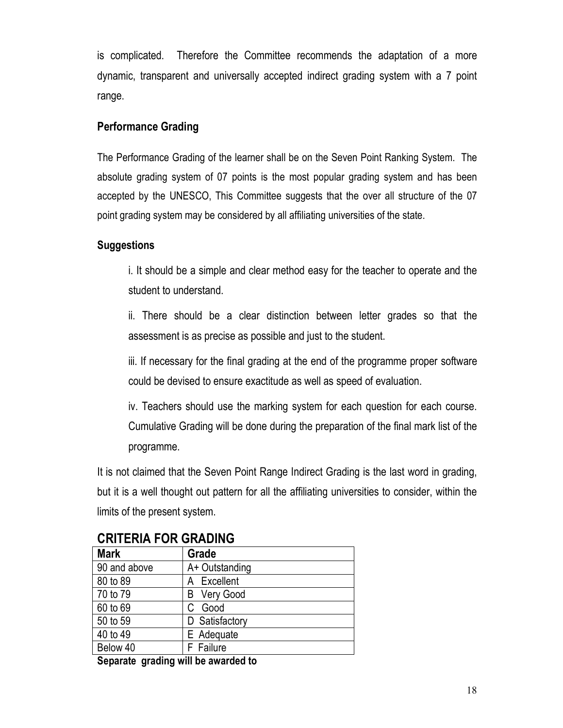is complicated. Therefore the Committee recommends the adaptation of a more dynamic, transparent and universally accepted indirect grading system with a 7 point range.

#### **Performance Grading**

The Performance Grading of the learner shall be on the Seven Point Ranking System. The absolute grading system of 07 points is the most popular grading system and has been accepted by the UNESCO, This Committee suggests that the over all structure of the 07 point grading system may be considered by all affiliating universities of the state.

#### **Suggestions**

i. It should be a simple and clear method easy for the teacher to operate and the student to understand.

ii. There should be a clear distinction between letter grades so that the assessment is as precise as possible and just to the student.

iii. If necessary for the final grading at the end of the programme proper software could be devised to ensure exactitude as well as speed of evaluation.

iv. Teachers should use the marking system for each question for each course. Cumulative Grading will be done during the preparation of the final mark list of the programme.

It is not claimed that the Seven Point Range Indirect Grading is the last word in grading, but it is a well thought out pattern for all the affiliating universities to consider, within the limits of the present system.

| <b>Mark</b>  | Grade          |  |  |  |
|--------------|----------------|--|--|--|
| 90 and above | A+ Outstanding |  |  |  |
| 80 to 89     | A Excellent    |  |  |  |
| 70 to 79     | B Very Good    |  |  |  |
| 60 to 69     | Good           |  |  |  |
| 50 to 59     | D Satisfactory |  |  |  |
| 40 to 49     | E Adequate     |  |  |  |
| Below 40     | F Failure      |  |  |  |
|              |                |  |  |  |

# **CRITERIA FOR GRADING**

**Separate grading will be awarded to**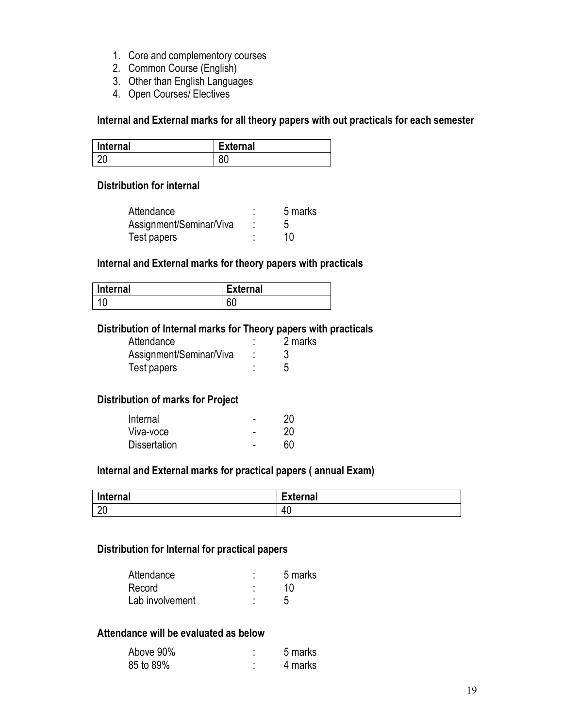- 1. Core and complementory courses
- 2. Common Course (English)
- 3. Other than English Languages
- 4. Open Courses/ Electives

**Internal and External marks for all theory papers with out practicals for each semester** 

| Internal | <b>External</b> |
|----------|-----------------|
| റ∩       | υv              |

#### **Distribution for internal**

| Attendance              |   | 5 marks |
|-------------------------|---|---------|
| Assignment/Seminar/Viva |   |         |
| Test papers             | ٠ | 10      |

#### **Internal and External marks for theory papers with practicals**

| <b>Internal</b> | <b>External</b> |
|-----------------|-----------------|
|                 | ^^<br>υu        |

#### **Distribution of Internal marks for Theory papers with practicals**

| Attendance              | 2 marks |
|-------------------------|---------|
| Assignment/Seminar/Viva |         |
| Test papers             |         |

#### **Distribution of marks for Project**

| Internal            | ۰ | 20 |
|---------------------|---|----|
| Viva-voce           | - | 20 |
| <b>Dissertation</b> |   | 60 |

#### **Internal and External marks for practical papers ( annual Exam)**

| Internal             | $\overline{\phantom{0}}$<br><b>External</b> |
|----------------------|---------------------------------------------|
| $\overline{2}$<br>∠∪ | 40                                          |

#### **Distribution for Internal for practical papers**

| Attendance      | ٠<br>٠ | 5 marks |
|-----------------|--------|---------|
| Record          |        | 10      |
| Lab involvement |        |         |

#### **Attendance will be evaluated as below**

| Above 90% | 5 marks |
|-----------|---------|
| 85 to 89% | 4 marks |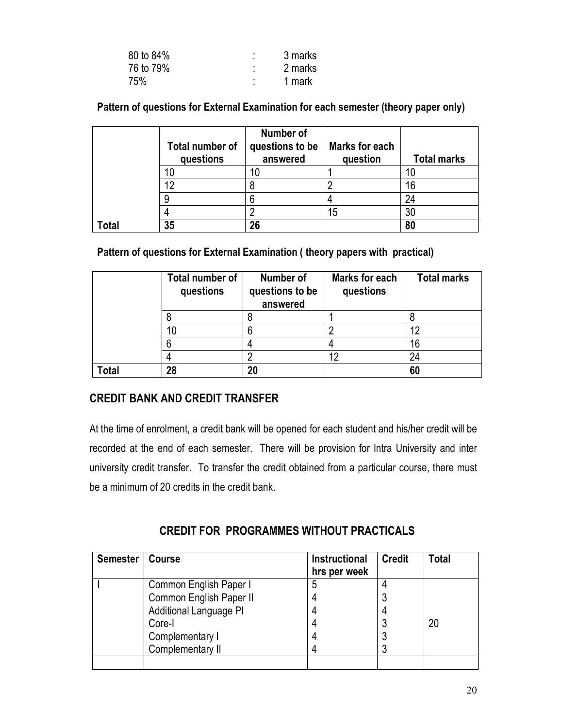| 80 to 84% | ٠<br>٠ | 3 marks |
|-----------|--------|---------|
| 76 to 79% | ٠<br>٠ | 2 marks |
| 75%       | ٠      | 1 mark  |

**Pattern of questions for External Examination for each semester (theory paper only)** 

|      | Total number of<br>questions | Number of<br>questions to be<br>answered | Marks for each<br>question | <b>Total marks</b> |
|------|------------------------------|------------------------------------------|----------------------------|--------------------|
|      | 10                           |                                          |                            |                    |
|      | 12                           |                                          |                            | 16                 |
|      |                              |                                          |                            | 24                 |
|      |                              |                                          | 15                         | 30                 |
| otal | 35                           | 26                                       |                            | 80                 |

#### **Pattern of questions for External Examination ( theory papers with practical)**

|              | Total number of<br>questions | Number of<br>questions to be<br>answered | <b>Marks for each</b><br>questions | <b>Total marks</b> |
|--------------|------------------------------|------------------------------------------|------------------------------------|--------------------|
|              |                              |                                          |                                    |                    |
|              | 10                           |                                          |                                    | 12                 |
|              | 6                            |                                          |                                    | 16                 |
|              |                              |                                          | 12                                 | 24                 |
| <b>Total</b> | 28                           | 20                                       |                                    | 60                 |

#### **CREDIT BANK AND CREDIT TRANSFER**

At the time of enrolment, a credit bank will be opened for each student and his/her credit will be recorded at the end of each semester. There will be provision for Intra University and inter university credit transfer. To transfer the credit obtained from a particular course, there must be a minimum of 20 credits in the credit bank.

**CREDIT FOR PROGRAMMES WITHOUT PRACTICALS** 

| <b>Semester</b> | <b>Course</b>           | <b>Instructional</b><br>hrs per week | <b>Credit</b> | <b>Total</b> |
|-----------------|-------------------------|--------------------------------------|---------------|--------------|
|                 | Common English Paper I  | 5                                    |               |              |
|                 | Common English Paper II |                                      | 3             |              |
|                 | Additional Language PI  |                                      | 4             |              |
|                 | Core-I                  |                                      |               | 20           |
|                 | Complementary I         |                                      | 3             |              |
|                 | Complementary II        |                                      |               |              |
|                 |                         |                                      |               |              |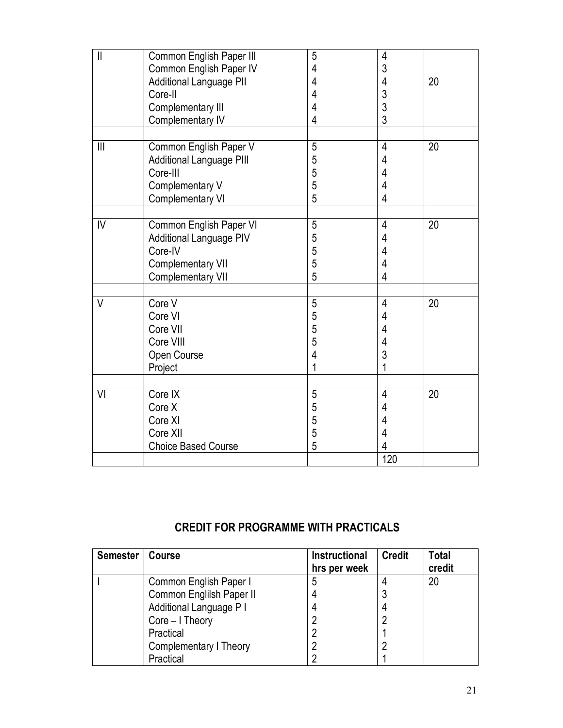| $\mathbf{I}$   | Common English Paper III        | 5              | 4              |    |  |
|----------------|---------------------------------|----------------|----------------|----|--|
|                | Common English Paper IV         | 4              | 3              |    |  |
|                | Additional Language PII         | 4              | 4              | 20 |  |
|                | Core-II                         | $\overline{4}$ | 3              |    |  |
|                | Complementary III               | 4              | 3              |    |  |
|                | Complementary IV                | 4              | 3              |    |  |
|                |                                 |                |                |    |  |
| $\mathbf{III}$ | Common English Paper V          | 5              | 4              | 20 |  |
|                | <b>Additional Language PIII</b> | 5              | 4              |    |  |
|                | Core-III                        | 5              | 4              |    |  |
|                | Complementary V                 | 5              | 4              |    |  |
|                | Complementary VI                | 5              | $\overline{4}$ |    |  |
|                |                                 |                |                |    |  |
| IV             | Common English Paper VI         | 5              | $\overline{4}$ | 20 |  |
|                | <b>Additional Language PIV</b>  | 5              | 4              |    |  |
|                | Core-IV                         | 5              | 4              |    |  |
|                | <b>Complementary VII</b>        | 5              | 4              |    |  |
|                | Complementary VII               | 5              | 4              |    |  |
|                |                                 |                |                |    |  |
| $\vee$         | Core V                          | $\overline{5}$ | $\overline{4}$ | 20 |  |
|                | Core VI                         | 5              | 4              |    |  |
|                | Core VII                        | 5              | 4              |    |  |
|                | Core VIII                       | 5              | 4              |    |  |
|                | Open Course                     | 4              | 3              |    |  |
|                | Project                         | 1              | 1              |    |  |
|                |                                 |                |                |    |  |
| VI             | Core IX                         | 5              | $\overline{4}$ | 20 |  |
|                | Core X                          | 5              | 4              |    |  |
|                | Core XI                         | 5              | 4              |    |  |
|                | Core XII                        | 5              | 4              |    |  |
|                | <b>Choice Based Course</b>      | 5              | 4              |    |  |
|                |                                 |                | 120            |    |  |

# **CREDIT FOR PROGRAMME WITH PRACTICALS**

| <b>Semester</b> | <b>Course</b>            | <b>Instructional</b> | <b>Credit</b> | <b>Total</b> |
|-----------------|--------------------------|----------------------|---------------|--------------|
|                 |                          | hrs per week         |               | credit       |
|                 | Common English Paper I   | 5                    |               | 20           |
|                 | Common Englilsh Paper II |                      |               |              |
|                 | Additional Language P I  | 4                    | 4             |              |
|                 | Core – I Theory          |                      |               |              |
|                 | Practical                |                      |               |              |
|                 | Complementary I Theory   |                      |               |              |
|                 | Practical                |                      |               |              |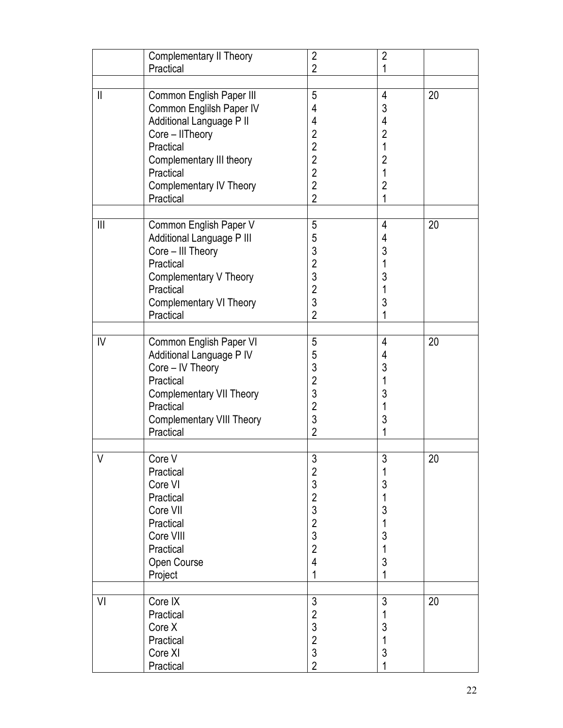|                | <b>Complementary II Theory</b><br>Practical                                                                                                                                                              | $\overline{2}$<br>$\overline{2}$                                                                                        | $\overline{2}$<br>1                                                              |    |  |
|----------------|----------------------------------------------------------------------------------------------------------------------------------------------------------------------------------------------------------|-------------------------------------------------------------------------------------------------------------------------|----------------------------------------------------------------------------------|----|--|
|                |                                                                                                                                                                                                          |                                                                                                                         |                                                                                  |    |  |
| $\mathbf{  }$  | Common English Paper III<br>Common Englilsh Paper IV<br>Additional Language P II<br>Core - IITheory<br>Practical<br>Complementary III theory<br>Practical<br><b>Complementary IV Theory</b><br>Practical | 5<br>4<br>4<br>$\overline{2}$<br>$\overline{2}$<br>$\overline{2}$<br>$\overline{2}$<br>$\overline{2}$<br>$\overline{2}$ | 4<br>3<br>4<br>$\overline{2}$<br>1<br>$\overline{2}$<br>1<br>$\overline{2}$<br>1 | 20 |  |
| $\mathbf{III}$ | Common English Paper V<br>Additional Language P III<br>Core - III Theory<br>Practical<br>Complementary V Theory<br>Practical<br><b>Complementary VI Theory</b><br>Practical                              | 5<br>5<br>3<br>$\overline{2}$<br>3<br>$\overline{2}$<br>3<br>$\overline{2}$                                             | 4<br>4<br>3<br>1<br>3<br>1<br>3<br>1                                             | 20 |  |
| IV             | Common English Paper VI<br>Additional Language P IV<br>Core - IV Theory<br>Practical<br><b>Complementary VII Theory</b><br>Practical<br><b>Complementary VIII Theory</b><br>Practical                    | 5<br>5<br>3<br>$\overline{2}$<br>3<br>$\overline{2}$<br>3<br>$\overline{2}$                                             | 4<br>4<br>3<br>1<br>3<br>1<br>3<br>1                                             | 20 |  |
| $\vee$         | Core V<br>Practical<br>Core VI<br>Practical<br>Core VII<br>Practical<br>Core VIII<br>Practical<br>Open Course<br>Project                                                                                 | 3<br>$\overline{2}$<br>3<br>$\overline{2}$<br>3<br>$\overline{2}$<br>3<br>$\overline{2}$<br>4<br>1                      | 3<br>1<br>3<br>3<br>1<br>3<br>1<br>3<br>1                                        | 20 |  |
| VI             | Core IX<br>Practical<br>Core X<br>Practical<br>Core XI<br>Practical                                                                                                                                      | 3<br>$\overline{2}$<br>3<br>$\overline{2}$<br>3<br>$\overline{2}$                                                       | 3<br>3<br>1<br>3                                                                 | 20 |  |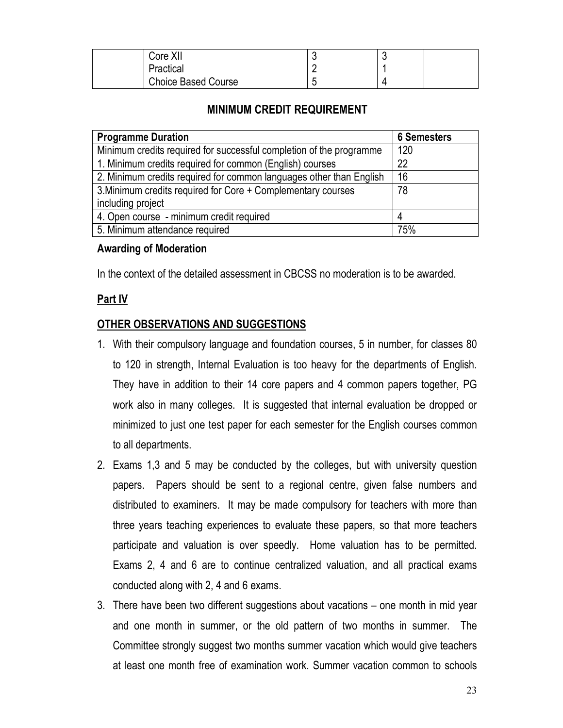| Core XII                   | ∼ |  |
|----------------------------|---|--|
| Practical                  |   |  |
| <b>Choice Based Course</b> |   |  |

#### **MINIMUM CREDIT REQUIREMENT**

| <b>Programme Duration</b>                                           | <b>6 Semesters</b> |
|---------------------------------------------------------------------|--------------------|
| Minimum credits required for successful completion of the programme | 120                |
| 1. Minimum credits required for common (English) courses            | 22                 |
| 2. Minimum credits required for common languages other than English | 16                 |
| 3. Minimum credits required for Core + Complementary courses        | 78                 |
| including project                                                   |                    |
| 4. Open course - minimum credit required                            |                    |
| 5. Minimum attendance required                                      | 75%                |

#### **Awarding of Moderation**

In the context of the detailed assessment in CBCSS no moderation is to be awarded.

#### **Part IV**

#### **OTHER OBSERVATIONS AND SUGGESTIONS**

- 1. With their compulsory language and foundation courses, 5 in number, for classes 80 to 120 in strength, Internal Evaluation is too heavy for the departments of English. They have in addition to their 14 core papers and 4 common papers together, PG work also in many colleges. It is suggested that internal evaluation be dropped or minimized to just one test paper for each semester for the English courses common to all departments.
- 2. Exams 1,3 and 5 may be conducted by the colleges, but with university question papers. Papers should be sent to a regional centre, given false numbers and distributed to examiners. It may be made compulsory for teachers with more than three years teaching experiences to evaluate these papers, so that more teachers participate and valuation is over speedly. Home valuation has to be permitted. Exams 2, 4 and 6 are to continue centralized valuation, and all practical exams conducted along with 2, 4 and 6 exams.
- 3. There have been two different suggestions about vacations one month in mid year and one month in summer, or the old pattern of two months in summer. The Committee strongly suggest two months summer vacation which would give teachers at least one month free of examination work. Summer vacation common to schools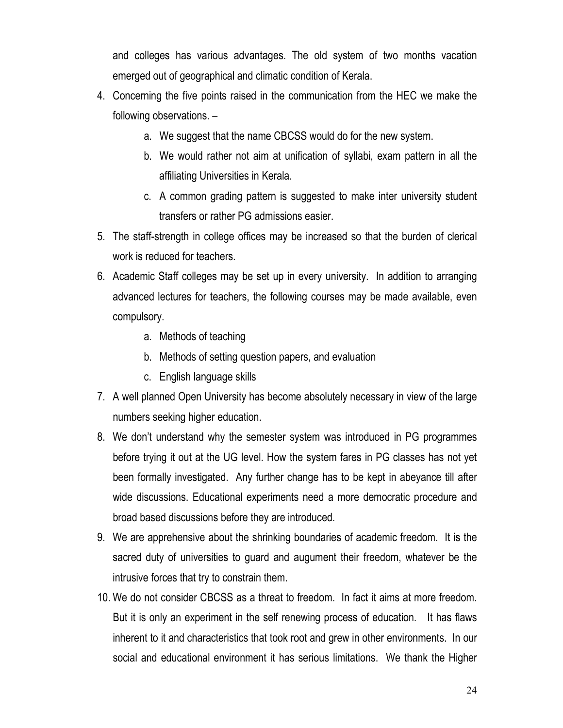and colleges has various advantages. The old system of two months vacation emerged out of geographical and climatic condition of Kerala.

- 4. Concerning the five points raised in the communication from the HEC we make the following observations. –
	- a. We suggest that the name CBCSS would do for the new system.
	- b. We would rather not aim at unification of syllabi, exam pattern in all the affiliating Universities in Kerala.
	- c. A common grading pattern is suggested to make inter university student transfers or rather PG admissions easier.
- 5. The staff-strength in college offices may be increased so that the burden of clerical work is reduced for teachers.
- 6. Academic Staff colleges may be set up in every university. In addition to arranging advanced lectures for teachers, the following courses may be made available, even compulsory.
	- a. Methods of teaching
	- b. Methods of setting question papers, and evaluation
	- c. English language skills
- 7. A well planned Open University has become absolutely necessary in view of the large numbers seeking higher education.
- 8. We don't understand why the semester system was introduced in PG programmes before trying it out at the UG level. How the system fares in PG classes has not yet been formally investigated. Any further change has to be kept in abeyance till after wide discussions. Educational experiments need a more democratic procedure and broad based discussions before they are introduced.
- 9. We are apprehensive about the shrinking boundaries of academic freedom. It is the sacred duty of universities to guard and augument their freedom, whatever be the intrusive forces that try to constrain them.
- 10. We do not consider CBCSS as a threat to freedom. In fact it aims at more freedom. But it is only an experiment in the self renewing process of education. It has flaws inherent to it and characteristics that took root and grew in other environments. In our social and educational environment it has serious limitations. We thank the Higher